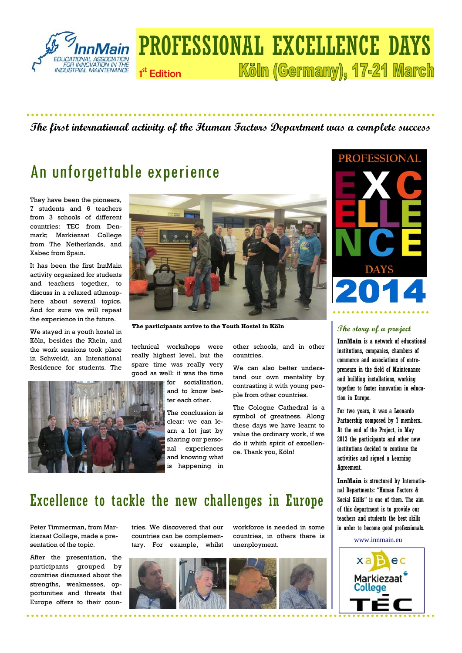

### PROFESSIONAL EXCELLENCE DAYS Köln (Germany), 17-21 March 1<sup>st</sup> Edition

#### **The first international activity of the Human Factors Department was a complete success**

# An unforgettable experience

They have been the pioneers, 7 students and 6 teachers from 3 schools of different countries: TEC from Denmark; Markiezaat College from The Netherlands, and Xabec from Spain.

It has been the first InnMain activity organized for students and teachers together, to discuss in a relaxed athmosphere about several topics. And for sure we will repeat the experience in the future.

We stayed in a youth hostel in Köln, besides the Rhein, and the work sessions took place in Schweidt, an Intenational Residence for students. The





**The participants arrive to the Youth Hostel in Köln The story of a project** 

technical workshops were really highest level, but the spare time was really very good as well: it was the time

for socialization, and to know better each other.

The conclussion is clear: we can learn a lot just by sharing our personal experiences and knowing what is happening in

other schools, and in other countries.

We can also better understand our own mentality by contrasting it with young people from other countries.

The Cologne Cathedral is a symbol of greatness. Along these days we have learnt to value the ordinary work, if we do it whith spirit of excellence. Thank you, Köln!



**InnMain** is a network of educational institutions, companies, chambers of commerce and associations of entrepreneurs in the field of Maintenance and building installations, working together to foster innovation in education in Europe.

For two years, it was a Leonardo Partnership composed by 7 members.. At the end of the Project, in May 2013 the participants and other new institutions decided to continue the activities and signed a Learning Agreement.

**InnMain** is structured by International Departments: "Human Factors & Social Skills" is one of them. The aim of this department is to provide our teachers and students the best skills in order to become good professionals.

www.innmain.eu



## Excellence to tackle the new challenges in Europe

Peter Timmerman, from Markiezaat College, made a presentation of the topic.

After the presentation, the participants grouped by countries discussed about the strengths, weaknesses, opportunities and threats that Europe offers to their countries. We discovered that our countries can be complementary. For example, whilst workforce is needed in some countries, in others there is unenployment.